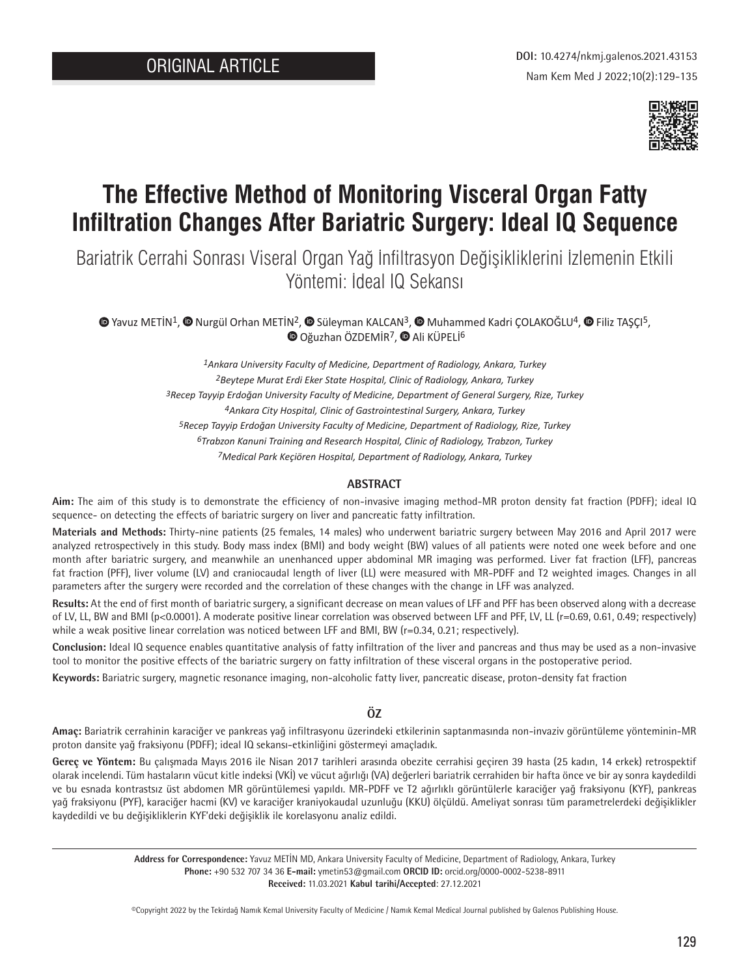

# **The Effective Method of Monitoring Visceral Organ Fatty Infiltration Changes After Bariatric Surgery: Ideal IQ Sequence**

Bariatrik Cerrahi Sonrası Viseral Organ Yağ İnfiltrasyon Değişikliklerini İzlemenin Etkili Yöntemi: İdeal IQ Sekansı

 $\bullet$  [Y](https://orcid.org/0000-0002-5238-8911)avuzMETİN<sup>1</sup>[,](https://orcid.org/0000-0002-8981-171X)  $\bullet$  Nurgül Orhan METİN<sup>2</sup>,  $\bullet$  Süleyman KALCAN<sup>3</sup>,  $\bullet$  Muhammed Kadri COLAKOĞLU<sup>4</sup>,  $\bullet$  Filiz TASCI<sup>5</sup>, **O**Oğuzhan ÖZDEMİR<sup>7</sup>, **O** Ali KÜPELİ<sup>6</sup>

> *1Ankara University Faculty of Medicine, Department of Radiology, Ankara, Turkey 2Beytepe Murat Erdi Eker State Hospital, Clinic of Radiology, Ankara, Turkey 3Recep Tayyip Erdoğan University Faculty of Medicine, Department of General Surgery, Rize, Turkey 4Ankara City Hospital, Clinic of Gastrointestinal Surgery, Ankara, Turkey 5Recep Tayyip Erdoğan University Faculty of Medicine, Department of Radiology, Rize, Turkey 6Trabzon Kanuni Training and Research Hospital, Clinic of Radiology, Trabzon, Turkey 7Medical Park Keçiören Hospital, Department of Radiology, Ankara, Turkey*

#### **ABSTRACT**

**Aim:** The aim of this study is to demonstrate the efficiency of non-invasive imaging method-MR proton density fat fraction (PDFF); ideal IQ sequence- on detecting the effects of bariatric surgery on liver and pancreatic fatty infiltration.

**Materials and Methods:** Thirty-nine patients (25 females, 14 males) who underwent bariatric surgery between May 2016 and April 2017 were analyzed retrospectively in this study. Body mass index (BMI) and body weight (BW) values of all patients were noted one week before and one month after bariatric surgery, and meanwhile an unenhanced upper abdominal MR imaging was performed. Liver fat fraction (LFF), pancreas fat fraction (PFF), liver volume (LV) and craniocaudal length of liver (LL) were measured with MR-PDFF and T2 weighted images. Changes in all parameters after the surgery were recorded and the correlation of these changes with the change in LFF was analyzed.

**Results:** At the end of first month of bariatric surgery, a significant decrease on mean values of LFF and PFF has been observed along with a decrease of LV, LL, BW and BMI (p<0.0001). A moderate positive linear correlation was observed between LFF and PFF, LV, LL (r=0.69, 0.61, 0.49; respectively) while a weak positive linear correlation was noticed between LFF and BMI, BW (r=0.34, 0.21; respectively).

**Conclusion:** Ideal IQ sequence enables quantitative analysis of fatty infiltration of the liver and pancreas and thus may be used as a non-invasive tool to monitor the positive effects of the bariatric surgery on fatty infiltration of these visceral organs in the postoperative period.

**Keywords:** Bariatric surgery, magnetic resonance imaging, non-alcoholic fatty liver, pancreatic disease, proton-density fat fraction

## **ÖZ**

**Amaç:** Bariatrik cerrahinin karaciğer ve pankreas yağ infiltrasyonu üzerindeki etkilerinin saptanmasında non-invaziv görüntüleme yönteminin-MR proton dansite yağ fraksiyonu (PDFF); ideal IQ sekansı-etkinliğini göstermeyi amaçladık.

**Gereç ve Yöntem:** Bu çalışmada Mayıs 2016 ile Nisan 2017 tarihleri arasında obezite cerrahisi geçiren 39 hasta (25 kadın, 14 erkek) retrospektif olarak incelendi. Tüm hastaların vücut kitle indeksi (VKİ) ve vücut ağırlığı (VA) değerleri bariatrik cerrahiden bir hafta önce ve bir ay sonra kaydedildi ve bu esnada kontrastsız üst abdomen MR görüntülemesi yapıldı. MR-PDFF ve T2 ağırlıklı görüntülerle karaciğer yağ fraksiyonu (KYF), pankreas yağ fraksiyonu (PYF), karaciğer hacmi (KV) ve karaciğer kraniyokaudal uzunluğu (KKU) ölçüldü. Ameliyat sonrası tüm parametrelerdeki değişiklikler kaydedildi ve bu değişikliklerin KYF'deki değişiklik ile korelasyonu analiz edildi.

> **Address for Correspondence:** Yavuz METİN MD, Ankara University Faculty of Medicine, Department of Radiology, Ankara, Turkey **Phone:** +90 532 707 34 36 **E-mail:** ymetin53@gmail.com **ORCID ID:** orcid.org/0000-0002-5238-8911 **Received:** 11.03.2021 **Kabul tarihi/Accepted**: 27.12.2021

> ©Copyright 2022 by the Tekirdağ Namık Kemal University Faculty of Medicine / Namık Kemal Medical Journal published by Galenos Publishing House.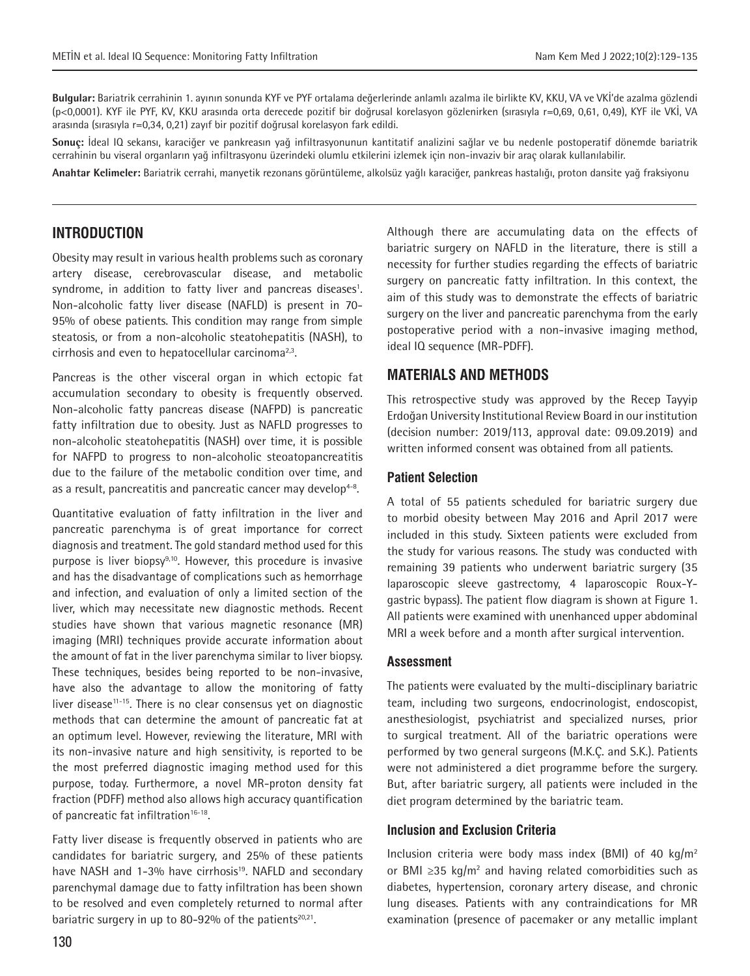**Bulgular:** Bariatrik cerrahinin 1. ayının sonunda KYF ve PYF ortalama değerlerinde anlamlı azalma ile birlikte KV, KKU, VA ve VKİ'de azalma gözlendi (p<0,0001). KYF ile PYF, KV, KKU arasında orta derecede pozitif bir doğrusal korelasyon gözlenirken (sırasıyla r=0,69, 0,61, 0,49), KYF ile VKİ, VA arasında (sırasıyla r=0,34, 0,21) zayıf bir pozitif doğrusal korelasyon fark edildi.

**Sonuç:** İdeal IQ sekansı, karaciğer ve pankreasın yağ infiltrasyonunun kantitatif analizini sağlar ve bu nedenle postoperatif dönemde bariatrik cerrahinin bu viseral organların yağ infiltrasyonu üzerindeki olumlu etkilerini izlemek için non-invaziv bir araç olarak kullanılabilir.

**Anahtar Kelimeler:** Bariatrik cerrahi, manyetik rezonans görüntüleme, alkolsüz yağlı karaciğer, pankreas hastalığı, proton dansite yağ fraksiyonu

## **INTRODUCTION**

Obesity may result in various health problems such as coronary artery disease, cerebrovascular disease, and metabolic syndrome, in addition to fatty liver and pancreas diseases<sup>1</sup>. Non-alcoholic fatty liver disease (NAFLD) is present in 70- 95% of obese patients. This condition may range from simple steatosis, or from a non-alcoholic steatohepatitis (NASH), to cirrhosis and even to hepatocellular carcinoma<sup>2,3</sup>.

Pancreas is the other visceral organ in which ectopic fat accumulation secondary to obesity is frequently observed. Non-alcoholic fatty pancreas disease (NAFPD) is pancreatic fatty infiltration due to obesity. Just as NAFLD progresses to non-alcoholic steatohepatitis (NASH) over time, it is possible for NAFPD to progress to non-alcoholic steoatopancreatitis due to the failure of the metabolic condition over time, and as a result, pancreatitis and pancreatic cancer may develop<sup>4-8</sup>.

Quantitative evaluation of fatty infiltration in the liver and pancreatic parenchyma is of great importance for correct diagnosis and treatment. The gold standard method used for this purpose is liver biopsy<sup>9,10</sup>. However, this procedure is invasive and has the disadvantage of complications such as hemorrhage and infection, and evaluation of only a limited section of the liver, which may necessitate new diagnostic methods. Recent studies have shown that various magnetic resonance (MR) imaging (MRI) techniques provide accurate information about the amount of fat in the liver parenchyma similar to liver biopsy. These techniques, besides being reported to be non-invasive, have also the advantage to allow the monitoring of fatty liver disease $11-15$ . There is no clear consensus yet on diagnostic methods that can determine the amount of pancreatic fat at an optimum level. However, reviewing the literature, MRI with its non-invasive nature and high sensitivity, is reported to be the most preferred diagnostic imaging method used for this purpose, today. Furthermore, a novel MR-proton density fat fraction (PDFF) method also allows high accuracy quantification of pancreatic fat infiltration<sup>16-18</sup>.

Fatty liver disease is frequently observed in patients who are candidates for bariatric surgery, and 25% of these patients have NASH and 1-3% have cirrhosis<sup>19</sup>. NAFLD and secondary parenchymal damage due to fatty infiltration has been shown to be resolved and even completely returned to normal after bariatric surgery in up to 80-92% of the patients $20,21$ .

Although there are accumulating data on the effects of bariatric surgery on NAFLD in the literature, there is still a necessity for further studies regarding the effects of bariatric surgery on pancreatic fatty infiltration. In this context, the aim of this study was to demonstrate the effects of bariatric surgery on the liver and pancreatic parenchyma from the early postoperative period with a non-invasive imaging method, ideal IQ sequence (MR-PDFF).

## **MATERIALS AND METHODS**

This retrospective study was approved by the Recep Tayyip Erdoğan University Institutional Review Board in our institution (decision number: 2019/113, approval date: 09.09.2019) and written informed consent was obtained from all patients.

#### **Patient Selection**

A total of 55 patients scheduled for bariatric surgery due to morbid obesity between May 2016 and April 2017 were included in this study. Sixteen patients were excluded from the study for various reasons. The study was conducted with remaining 39 patients who underwent bariatric surgery (35 laparoscopic sleeve gastrectomy, 4 laparoscopic Roux-Ygastric bypass). The patient flow diagram is shown at Figure 1. All patients were examined with unenhanced upper abdominal MRI a week before and a month after surgical intervention.

#### **Assessment**

The patients were evaluated by the multi-disciplinary bariatric team, including two surgeons, endocrinologist, endoscopist, anesthesiologist, psychiatrist and specialized nurses, prior to surgical treatment. All of the bariatric operations were performed by two general surgeons (M.K.Ç. and S.K.). Patients were not administered a diet programme before the surgery. But, after bariatric surgery, all patients were included in the diet program determined by the bariatric team.

#### **Inclusion and Exclusion Criteria**

Inclusion criteria were body mass index (BMI) of 40 kg/m<sup>2</sup> or BMI  $≥35$  kg/m<sup>2</sup> and having related comorbidities such as diabetes, hypertension, coronary artery disease, and chronic lung diseases. Patients with any contraindications for MR examination (presence of pacemaker or any metallic implant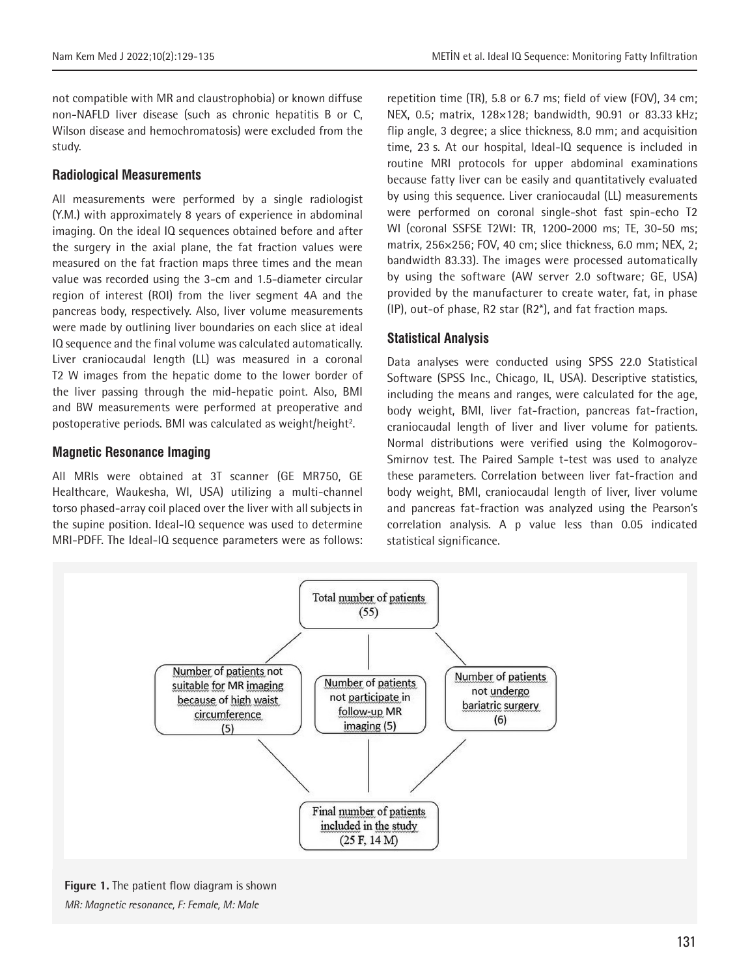not compatible with MR and claustrophobia) or known diffuse non-NAFLD liver disease (such as chronic hepatitis B or C, Wilson disease and hemochromatosis) were excluded from the study.

#### **Radiological Measurements**

All measurements were performed by a single radiologist (Y.M.) with approximately 8 years of experience in abdominal imaging. On the ideal IQ sequences obtained before and after the surgery in the axial plane, the fat fraction values were measured on the fat fraction maps three times and the mean value was recorded using the 3-cm and 1.5-diameter circular region of interest (ROI) from the liver segment 4A and the pancreas body, respectively. Also, liver volume measurements were made by outlining liver boundaries on each slice at ideal IQ sequence and the final volume was calculated automatically. Liver craniocaudal length (LL) was measured in a coronal T2 W images from the hepatic dome to the lower border of the liver passing through the mid-hepatic point. Also, BMI and BW measurements were performed at preoperative and postoperative periods. BMI was calculated as weight/height<sup>2</sup>.

## **Magnetic Resonance Imaging**

All MRIs were obtained at 3T scanner (GE MR750, GE Healthcare, Waukesha, WI, USA) utilizing a multi-channel torso phased-array coil placed over the liver with all subjects in the supine position. Ideal-IQ sequence was used to determine MRI-PDFF. The Ideal-IQ sequence parameters were as follows: repetition time (TR), 5.8 or 6.7 ms; field of view (FOV), 34 cm; NEX, 0.5; matrix, 128×128; bandwidth, 90.91 or 83.33 kHz; flip angle, 3 degree; a slice thickness, 8.0 mm; and acquisition time, 23 s. At our hospital, Ideal-IQ sequence is included in routine MRI protocols for upper abdominal examinations because fatty liver can be easily and quantitatively evaluated by using this sequence. Liver craniocaudal (LL) measurements were performed on coronal single-shot fast spin-echo T2 WI (coronal SSFSE T2WI: TR, 1200-2000 ms; TE, 30-50 ms; matrix, 256×256; FOV, 40 cm; slice thickness, 6.0 mm; NEX, 2; bandwidth 83.33). The images were processed automatically by using the software (AW server 2.0 software; GE, USA) provided by the manufacturer to create water, fat, in phase (IP), out-of phase, R2 star (R2\*), and fat fraction maps.

#### **Statistical Analysis**

Data analyses were conducted using SPSS 22.0 Statistical Software (SPSS Inc., Chicago, IL, USA). Descriptive statistics, including the means and ranges, were calculated for the age, body weight, BMI, liver fat-fraction, pancreas fat-fraction, craniocaudal length of liver and liver volume for patients. Normal distributions were verified using the Kolmogorov-Smirnov test. The Paired Sample t-test was used to analyze these parameters. Correlation between liver fat-fraction and body weight, BMI, craniocaudal length of liver, liver volume and pancreas fat-fraction was analyzed using the Pearson's correlation analysis. A p value less than 0.05 indicated statistical significance.



**Figure 1.** The patient flow diagram is shown *MR: Magnetic resonance, F: Female, M: Male*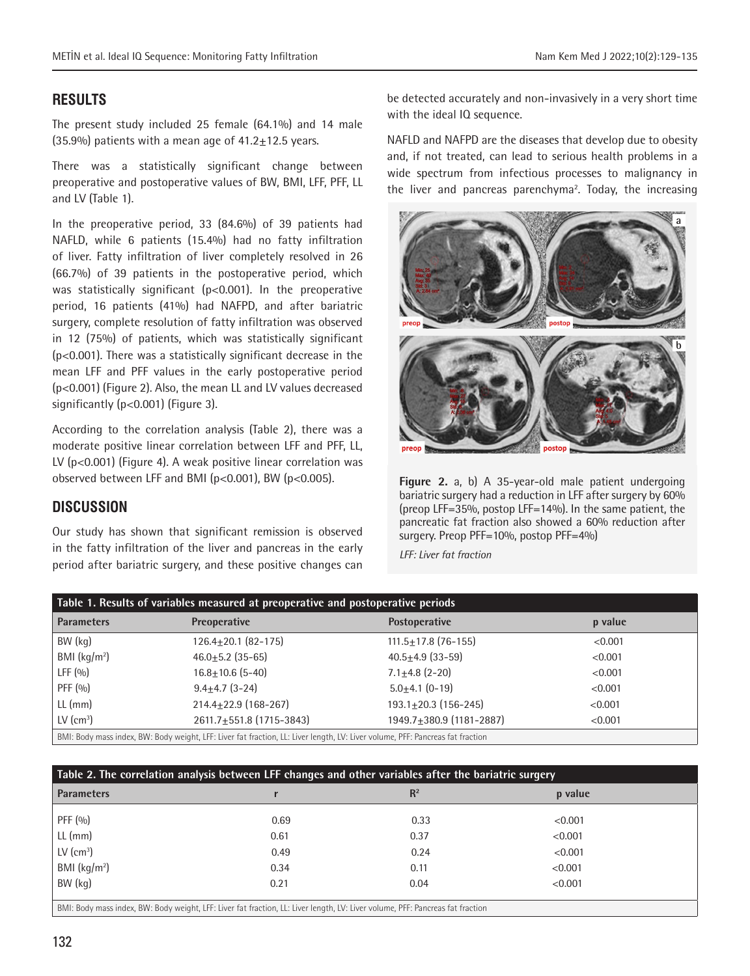# **RESULTS**

The present study included 25 female (64.1%) and 14 male  $(35.9\%)$  patients with a mean age of  $41.2+12.5$  years.

There was a statistically significant change between preoperative and postoperative values of BW, BMI, LFF, PFF, LL and LV (Table 1).

In the preoperative period, 33 (84.6%) of 39 patients had NAFLD, while 6 patients (15.4%) had no fatty infiltration of liver. Fatty infiltration of liver completely resolved in 26 (66.7%) of 39 patients in the postoperative period, which was statistically significant (p<0.001). In the preoperative period, 16 patients (41%) had NAFPD, and after bariatric surgery, complete resolution of fatty infiltration was observed in 12 (75%) of patients, which was statistically significant (p<0.001). There was a statistically significant decrease in the mean LFF and PFF values in the early postoperative period (p<0.001) (Figure 2). Also, the mean LL and LV values decreased significantly (p<0.001) (Figure 3).

According to the correlation analysis (Table 2), there was a moderate positive linear correlation between LFF and PFF, LL, LV (p<0.001) (Figure 4). A weak positive linear correlation was observed between LFF and BMI (p<0.001), BW (p<0.005).

# **DISCUSSION**

Our study has shown that significant remission is observed in the fatty infiltration of the liver and pancreas in the early period after bariatric surgery, and these positive changes can be detected accurately and non-invasively in a very short time with the ideal IQ sequence.

NAFLD and NAFPD are the diseases that develop due to obesity and, if not treated, can lead to serious health problems in a wide spectrum from infectious processes to malignancy in the liver and pancreas parenchyma<sup>2</sup>. Today, the increasing



**Figure 2.** a, b) A 35-year-old male patient undergoing bariatric surgery had a reduction in LFF after surgery by 60% (preop LFF=35%, postop LFF=14%). In the same patient, the pancreatic fat fraction also showed a 60% reduction after surgery. Preop PFF=10%, postop PFF=4%)

*LFF: Liver fat fraction*

| Table 1. Results of variables measured at preoperative and postoperative periods |                                                                                                                                |                            |         |  |  |
|----------------------------------------------------------------------------------|--------------------------------------------------------------------------------------------------------------------------------|----------------------------|---------|--|--|
| <b>Parameters</b>                                                                | <b>Preoperative</b>                                                                                                            | <b>Postoperative</b>       | p value |  |  |
| BW (kg)                                                                          | $126.4 \pm 20.1$ (82-175)                                                                                                      | $111.5 \pm 17.8$ (76-155)  | < 0.001 |  |  |
| BMI $(kq/m2)$                                                                    | $46.0 \pm 5.2$ (35-65)                                                                                                         | $40.5 \pm 4.9$ (33-59)     | < 0.001 |  |  |
| LFF $(0/0)$                                                                      | $16.8 \pm 10.6$ (5-40)                                                                                                         | $7.1 \pm 4.8$ (2-20)       | < 0.001 |  |  |
| PFF $(0/0)$                                                                      | $9.4 \pm 4.7$ (3-24)                                                                                                           | $5.0+4.1(0-19)$            | < 0.001 |  |  |
| $LL$ (mm)                                                                        | $214.4 + 22.9$ (168-267)                                                                                                       | $193.1 \pm 20.3$ (156-245) | < 0.001 |  |  |
| $LV$ (cm <sup>3</sup> )                                                          | 2611.7±551.8 (1715-3843)                                                                                                       | 1949.7±380.9 (1181-2887)   | < 0.001 |  |  |
|                                                                                  | BMI: Body mass index, BW: Body weight, LFF: Liver fat fraction, LL: Liver length, LV: Liver volume, PFF: Pancreas fat fraction |                            |         |  |  |

| Table 2. The correlation analysis between LFF changes and other variables after the bariatric surgery                          |      |       |         |  |  |
|--------------------------------------------------------------------------------------------------------------------------------|------|-------|---------|--|--|
| <b>Parameters</b>                                                                                                              |      | $R^2$ | p value |  |  |
| PFF (%)                                                                                                                        | 0.69 | 0.33  | < 0.001 |  |  |
| $LL$ (mm)                                                                                                                      | 0.61 | 0.37  | < 0.001 |  |  |
| $LV$ (cm <sup>3</sup> )                                                                                                        | 0.49 | 0.24  | < 0.001 |  |  |
| BMI $(kq/m2)$                                                                                                                  | 0.34 | 0.11  | < 0.001 |  |  |
| BW (kg)                                                                                                                        | 0.21 | 0.04  | < 0.001 |  |  |
| BMI: Body mass index, BW: Body weight, LFF: Liver fat fraction, LL: Liver length, LV: Liver volume, PFF: Pancreas fat fraction |      |       |         |  |  |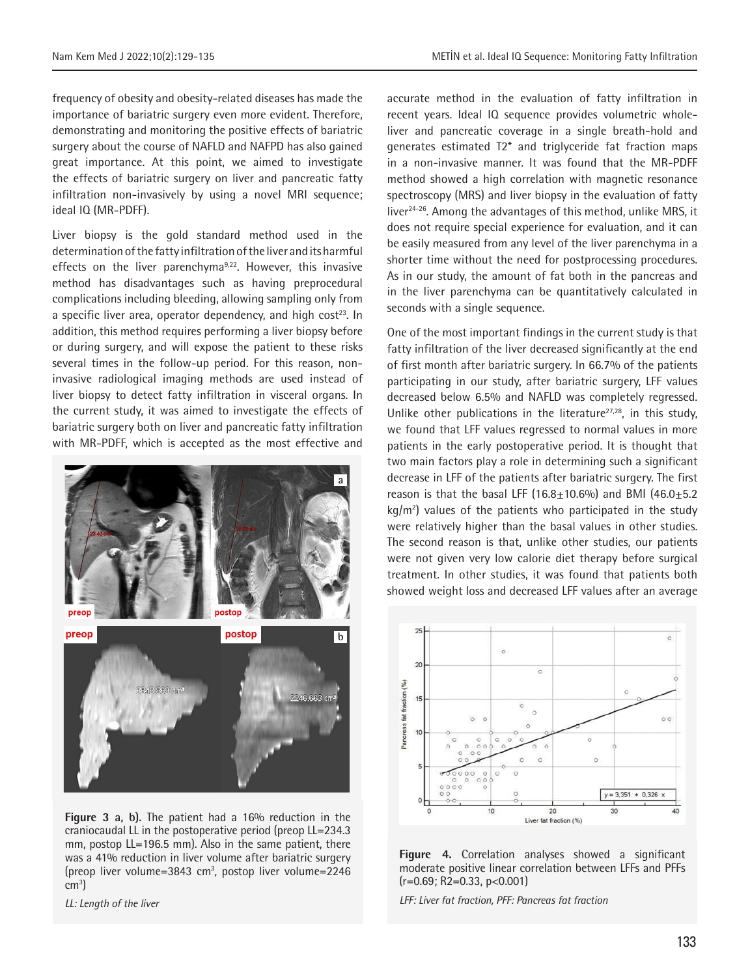frequency of obesity and obesity-related diseases has made the importance of bariatric surgery even more evident. Therefore, demonstrating and monitoring the positive effects of bariatric surgery about the course of NAFLD and NAFPD has also gained great importance. At this point, we aimed to investigate the effects of bariatric surgery on liver and pancreatic fatty infiltration non-invasively by using a novel MRI sequence; ideal IQ (MR-PDFF).

Liver biopsy is the gold standard method used in the determination of the fatty infiltration of the liver and its harmful effects on the liver parenchyma<sup>9,22</sup>. However, this invasive method has disadvantages such as having preprocedural complications including bleeding, allowing sampling only from a specific liver area, operator dependency, and high cost<sup>23</sup>. In addition, this method requires performing a liver biopsy before or during surgery, and will expose the patient to these risks several times in the follow-up period. For this reason, noninvasive radiological imaging methods are used instead of liver biopsy to detect fatty infiltration in visceral organs. In the current study, it was aimed to investigate the effects of bariatric surgery both on liver and pancreatic fatty infiltration with MR-PDFF, which is accepted as the most effective and



**Figure 3 a, b).** The patient had a 16% reduction in the craniocaudal LL in the postoperative period (preop LL=234.3 mm, postop LL=196.5 mm). Also in the same patient, there was a 41% reduction in liver volume after bariatric surgery (preop liver volume=3843 cm<sup>3</sup>, postop liver volume=2246 cm3 )

*LL: Length of the liver*

accurate method in the evaluation of fatty infiltration in recent years. Ideal IQ sequence provides volumetric wholeliver and pancreatic coverage in a single breath-hold and generates estimated T2\* and triglyceride fat fraction maps in a non-invasive manner. It was found that the MR-PDFF method showed a high correlation with magnetic resonance spectroscopy (MRS) and liver biopsy in the evaluation of fatty liver<sup>24-26</sup>. Among the advantages of this method, unlike MRS, it does not require special experience for evaluation, and it can be easily measured from any level of the liver parenchyma in a shorter time without the need for postprocessing procedures. As in our study, the amount of fat both in the pancreas and in the liver parenchyma can be quantitatively calculated in seconds with a single sequence.

One of the most important findings in the current study is that fatty infiltration of the liver decreased significantly at the end of first month after bariatric surgery. In 66.7% of the patients participating in our study, after bariatric surgery, LFF values decreased below 6.5% and NAFLD was completely regressed. Unlike other publications in the literature<sup>27,28</sup>, in this study, we found that LFF values regressed to normal values in more patients in the early postoperative period. It is thought that two main factors play a role in determining such a significant decrease in LFF of the patients after bariatric surgery. The first reason is that the basal LFF  $(16.8+10.6\%)$  and BMI  $(46.0+5.2)$  $kg/m<sup>2</sup>$ ) values of the patients who participated in the study were relatively higher than the basal values in other studies. The second reason is that, unlike other studies, our patients were not given very low calorie diet therapy before surgical treatment. In other studies, it was found that patients both showed weight loss and decreased LFF values after an average



**Figure 4.** Correlation analyses showed a significant moderate positive linear correlation between LFFs and PFFs  $(r=0.69; R2=0.33, p<0.001)$ 

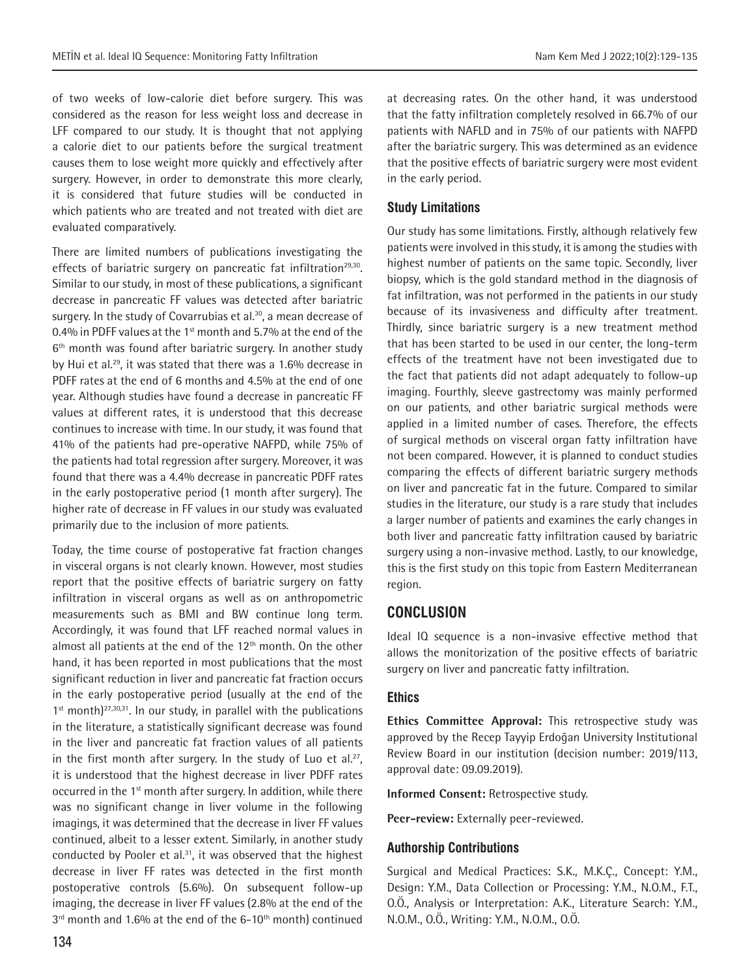of two weeks of low-calorie diet before surgery. This was considered as the reason for less weight loss and decrease in LFF compared to our study. It is thought that not applying a calorie diet to our patients before the surgical treatment causes them to lose weight more quickly and effectively after surgery. However, in order to demonstrate this more clearly, it is considered that future studies will be conducted in which patients who are treated and not treated with diet are evaluated comparatively.

There are limited numbers of publications investigating the effects of bariatric surgery on pancreatic fat infiltration<sup>29,30</sup>. Similar to our study, in most of these publications, a significant decrease in pancreatic FF values was detected after bariatric surgery. In the study of Covarrubias et al.<sup>30</sup>, a mean decrease of 0.4% in PDFF values at the 1<sup>st</sup> month and 5.7% at the end of the 6<sup>th</sup> month was found after bariatric surgery. In another study by Hui et al.<sup>29</sup>, it was stated that there was a 1.6% decrease in PDFF rates at the end of 6 months and 4.5% at the end of one year. Although studies have found a decrease in pancreatic FF values at different rates, it is understood that this decrease continues to increase with time. In our study, it was found that 41% of the patients had pre-operative NAFPD, while 75% of the patients had total regression after surgery. Moreover, it was found that there was a 4.4% decrease in pancreatic PDFF rates in the early postoperative period (1 month after surgery). The higher rate of decrease in FF values in our study was evaluated primarily due to the inclusion of more patients.

Today, the time course of postoperative fat fraction changes in visceral organs is not clearly known. However, most studies report that the positive effects of bariatric surgery on fatty infiltration in visceral organs as well as on anthropometric measurements such as BMI and BW continue long term. Accordingly, it was found that LFF reached normal values in almost all patients at the end of the  $12<sup>th</sup>$  month. On the other hand, it has been reported in most publications that the most significant reduction in liver and pancreatic fat fraction occurs in the early postoperative period (usually at the end of the  $1<sup>st</sup>$  month)<sup>27,30,31</sup>. In our study, in parallel with the publications in the literature, a statistically significant decrease was found in the liver and pancreatic fat fraction values of all patients in the first month after surgery. In the study of Luo et al.<sup>27</sup>, it is understood that the highest decrease in liver PDFF rates occurred in the 1<sup>st</sup> month after surgery. In addition, while there was no significant change in liver volume in the following imagings, it was determined that the decrease in liver FF values continued, albeit to a lesser extent. Similarly, in another study conducted by Pooler et al. $31$ , it was observed that the highest decrease in liver FF rates was detected in the first month postoperative controls (5.6%). On subsequent follow-up imaging, the decrease in liver FF values (2.8% at the end of the  $3<sup>rd</sup>$  month and 1.6% at the end of the 6-10<sup>th</sup> month) continued

at decreasing rates. On the other hand, it was understood that the fatty infiltration completely resolved in 66.7% of our patients with NAFLD and in 75% of our patients with NAFPD after the bariatric surgery. This was determined as an evidence that the positive effects of bariatric surgery were most evident in the early period.

## **Study Limitations**

Our study has some limitations. Firstly, although relatively few patients were involved in this study, it is among the studies with highest number of patients on the same topic. Secondly, liver biopsy, which is the gold standard method in the diagnosis of fat infiltration, was not performed in the patients in our study because of its invasiveness and difficulty after treatment. Thirdly, since bariatric surgery is a new treatment method that has been started to be used in our center, the long-term effects of the treatment have not been investigated due to the fact that patients did not adapt adequately to follow-up imaging. Fourthly, sleeve gastrectomy was mainly performed on our patients, and other bariatric surgical methods were applied in a limited number of cases. Therefore, the effects of surgical methods on visceral organ fatty infiltration have not been compared. However, it is planned to conduct studies comparing the effects of different bariatric surgery methods on liver and pancreatic fat in the future. Compared to similar studies in the literature, our study is a rare study that includes a larger number of patients and examines the early changes in both liver and pancreatic fatty infiltration caused by bariatric surgery using a non-invasive method. Lastly, to our knowledge, this is the first study on this topic from Eastern Mediterranean region.

# **CONCLUSION**

Ideal IQ sequence is a non-invasive effective method that allows the monitorization of the positive effects of bariatric surgery on liver and pancreatic fatty infiltration.

## **Ethics**

**Ethics Committee Approval:** This retrospective study was approved by the Recep Tayyip Erdoğan University Institutional Review Board in our institution (decision number: 2019/113, approval date: 09.09.2019).

**Informed Consent:** Retrospective study.

**Peer-review:** Externally peer-reviewed.

# **Authorship Contributions**

Surgical and Medical Practices: S.K., M.K.Ç., Concept: Y.M., Design: Y.M., Data Collection or Processing: Y.M., N.O.M., F.T., O.Ö., Analysis or Interpretation: A.K., Literature Search: Y.M., N.O.M., O.Ö., Writing: Y.M., N.O.M., O.Ö.